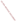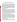# **Assessing EPA's Federal Advisory Committee Act Committees Background Information for EPA Staff**

#### **Introduction**

Enclosed are five questionnaires for EPA staff to use in generating feedback on the effectiveness of EPA-supported Federal Advisory Committee Act (FACA) Committees, and the effectiveness of any FACA process. The questionnaires are a component of the evaluation section in the *Framework for Implementing EPA's Public Involvement Policy*. The questionnaires are for people who regularly attend FACA meetings and for EPA staff and contractors who facilitate and/or participate in the FACA process over a period of time. The *first and second questionnaires* (one for FACA participants and one for EPA staff/contractor) focus on the effectiveness of specific FACA meetings. The *third and fourth questionnaires* (one for FACA participants and one for EPA staff/contractor), which should be administered once or twice a year as needed, focus on FACA participant and EPA/contractor perspectives on the FACA's success. The *fifth questionnaire*, which should be administered once or twice a year as needed, focuses on the perspectives of the FACA EPA Designated Federal Official (DFO) regarding the effectiveness of FACA committee outputs for EPA purposes.

#### **What is a FACA Committee?**

When EPA seeks advice or recommendations from a group that includes one or more individuals who are not federal government employees, the Agency should determine whether the Federal Advisory Committee Act (FACA), 5 U.S.C. App. 2, applies. EPA staff should consult with the Office of General Counsel or the Office of Regional Counsel to make that determination. FACA requires, among other things, that such groups be chartered, have a balanced membership, hold open meetings and make written materials available to the public. EPA staff should contact the Committee Management Officer in the Office of Cooperative Environmental Management for advice on complying with the FACA requirements. The primary function of a FACA committee is to provide advice and recommendations to federal officials. FACA committees also can provide a forum for addressing issues, promoting constructive dialogue among the various interests represented on the group, and enhancing community understanding of the Agency's action. EPA FACA committees address a wide variety of scientific, technical and policy issues.

### **How can the FACA questionnaires be useful to you?**

Use of the questionnaires should make the process of gathering feedback for your public involvement activity easier for you to implement directly, without spending contract dollars. These questionnaires should help Agency staff better understand what worked well and what improvements they can make prior to conducting future FACA meetings or staffing another FACA process. Specifically, the questionnaires can help EPA staff understand participant perspectives regarding pre-session preparation, clarity of objectives, facilitator effectiveness, EPA support, and value of participation. Once summarized, Agency staff can use the data to assess if goals were met, make modifications if necessary, and compare progress over time. This feedback should help you to better understand whether a particular FACA committee is working out well, whether you are missing opportunities for improvement, or whether you need to address certain problems. Once you have summarized the data, Agency staff can assess whether they met goals, make modifications, and compare progress over time.

### **When should I use the questionnaires?**

You can use the *first and second questionnaires* (one for participants and one for EPA staff/contactor) after every meeting or every couple of meetings. Use the *third and fourth questionnaires* (one for participants and one for the EPA FACA DFO) once or twice a year,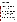depending on the level of activity of the FACA. Use the *fifth questionnaire* to gain perspective on the effectiveness of various FACA committee outputs. The questionnaires may also be helpful in situations where a particular problem hinders the successful working of the group. They may be especially useful when EPA seeks advice from a FACA that needs particularly effective support to gel quickly and develop findings. It is ultimately up to you, however, to decide when to use them. The key is to use the questionnaires to the extent that they provide you with valuable information and improve your ability to design and implement more effective FACA committee processes in the future.

#### **Are the questionnaires in compliance with the Paperwork Reduction Act?**

Yes. The *questionnaires one through four* were cleared with the Office of Management and Budget (OMB) under ICR #2151.01, OMB Control No: 2010-0039. This clearance will allow EPA to collect information (via the questionnaires) from more than nine non-federal entities. The *fifth questionnaire* does not need OMB approval (since it is designed for federal entities), and is ready for use.

### **Who designed these questionnaires?**

The Evaluation Task Group of EPA's Public Involvement Workgroup designed these questionnaires after consulting with EPA staff who are regularly involved in working with FACA committees.

# **What should I when preparing to administer a questionnaire?**

See "Checklist for Administering the Questionnaire."

# **What do I do with the questionnaire data once the forms are returned?**

As soon as you can, record and tabulate the responses you receive to each question on each survey in a format that works for you.Include the date, location, total number of respondents and which survey you used on the form. After each use of the same survey, check the past results so you can track improvement in the respondents' ratings.

On an annual basis, EPA must report use of the surveys to the Office of Management and Budget. Just before Thanksgiving, send a summary of your use of all the surveys to: bonner.patricia@epa.gov. Please note all the surveys used, the number of times you administered each, and the total number of respondents to each survey. If you have seen improved ratings, add a note about what you changed and what difference it made in not only the rating, but the activity itself. That way we will be able to track the use of the questionnaires, and learn from you what is and is not working well, and gauge whether and how the questionnaires are useful to your efforts to improve public involvement activities. If you have suggestions for additional surveys or changes to existing surveys, send those along too.

When it becomes available, you may collect, collate and analyze the data from the respondent forms using a pre-formatted Lotus 1-2-3 spreadsheet program. In addition, the spreadsheet program will allow you to summarize data over a period of time, making it easy to generate annual summary reports for your management. More information on how to use the program is available in the "Checklist for Administering the Questionnaire and Using Results" and within the Lotus 1-2-3 spreadsheet program.

### **How can I use the results?**

The completed questionnaires should provide you with information that can help you design improvements to activities and to your overall involvement process. Aggregated data should help